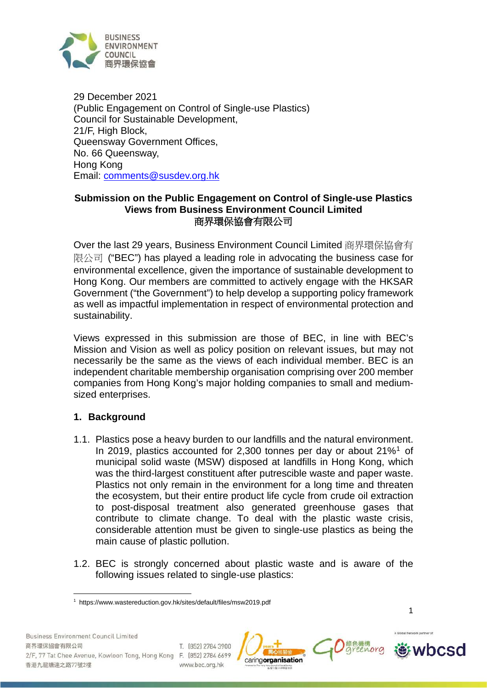

29 December 2021 (Public Engagement on Control of Single-use Plastics) Council for Sustainable Development, 21/F, High Block, Queensway Government Offices, No. 66 Queensway, Hong Kong Email: comments@susdev.org.hk

# **Submission on the Public Engagement on Control of Single-use Plastics Views from Business Environment Council Limited** 商界環保協會有限公司

Over the last 29 years, Business Environment Council Limited 商界環保協會有 限公司 ("BEC") has played a leading role in advocating the business case for environmental excellence, given the importance of sustainable development to Hong Kong. Our members are committed to actively engage with the HKSAR Government ("the Government") to help develop a supporting policy framework as well as impactful implementation in respect of environmental protection and sustainability.

Views expressed in this submission are those of BEC, in line with BEC's Mission and Vision as well as policy position on relevant issues, but may not necessarily be the same as the views of each individual member. BEC is an independent charitable membership organisation comprising over 200 member companies from Hong Kong's major holding companies to small and mediumsized enterprises.

# **1. Background**

- 1.1. Plastics pose a heavy burden to our landfills and the natural environment. In 20[1](#page-0-0)9, plastics accounted for 2,300 tonnes per day or about 21%<sup>1</sup> of municipal solid waste (MSW) disposed at landfills in Hong Kong, which was the third-largest constituent after putrescible waste and paper waste. Plastics not only remain in the environment for a long time and threaten the ecosystem, but their entire product life cycle from crude oil extraction to post-disposal treatment also generated greenhouse gases that contribute to climate change. To deal with the plastic waste crisis, considerable attention must be given to single-use plastics as being the main cause of plastic pollution.
- 1.2. BEC is strongly concerned about plastic waste and is aware of the following issues related to single-use plastics:







<span id="page-0-0"></span><sup>1</sup> https://www.wastereduction.gov.hk/sites/default/files/msw2019.pdf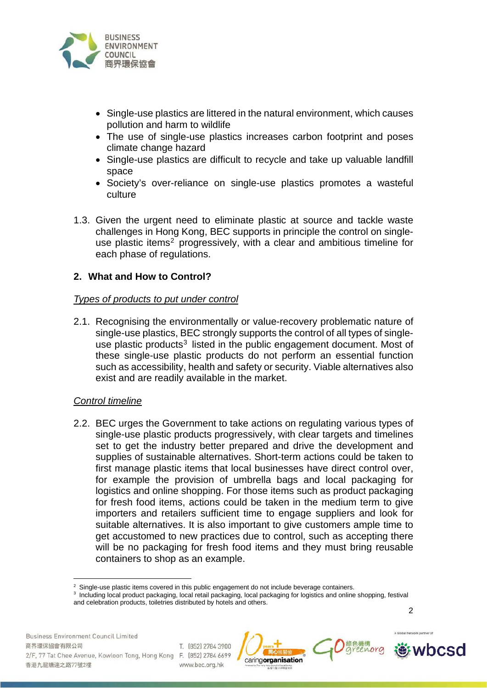

- Single-use plastics are littered in the natural environment, which causes pollution and harm to wildlife
- The use of single-use plastics increases carbon footprint and poses climate change hazard
- Single-use plastics are difficult to recycle and take up valuable landfill space
- Society's over-reliance on single-use plastics promotes a wasteful culture
- 1.3. Given the urgent need to eliminate plastic at source and tackle waste challenges in Hong Kong, BEC supports in principle the control on single-use plastic items<sup>[2](#page-1-0)</sup> progressively, with a clear and ambitious timeline for each phase of regulations.

# **2. What and How to Control?**

## *Types of products to put under control*

2.1. Recognising the environmentally or value-recovery problematic nature of single-use plastics, BEC strongly supports the control of all types of singleuse plastic products<sup>3</sup> listed in the public engagement document. Most of these single-use plastic products do not perform an essential function such as accessibility, health and safety or security. Viable alternatives also exist and are readily available in the market.

## *Control timeline*

2.2. BEC urges the Government to take actions on regulating various types of single-use plastic products progressively, with clear targets and timelines set to get the industry better prepared and drive the development and supplies of sustainable alternatives. Short-term actions could be taken to first manage plastic items that local businesses have direct control over, for example the provision of umbrella bags and local packaging for logistics and online shopping. For those items such as product packaging for fresh food items, actions could be taken in the medium term to give importers and retailers sufficient time to engage suppliers and look for suitable alternatives. It is also important to give customers ample time to get accustomed to new practices due to control, such as accepting there will be no packaging for fresh food items and they must bring reusable containers to shop as an example.

wbcsd





<sup>&</sup>lt;sup>2</sup> Single-use plastic items covered in this public engagement do not include beverage containers.

<span id="page-1-1"></span><span id="page-1-0"></span><sup>&</sup>lt;sup>3</sup> Including local product packaging, local retail packaging, local packaging for logistics and online shopping, festival and celebration products, toiletries distributed by hotels and others.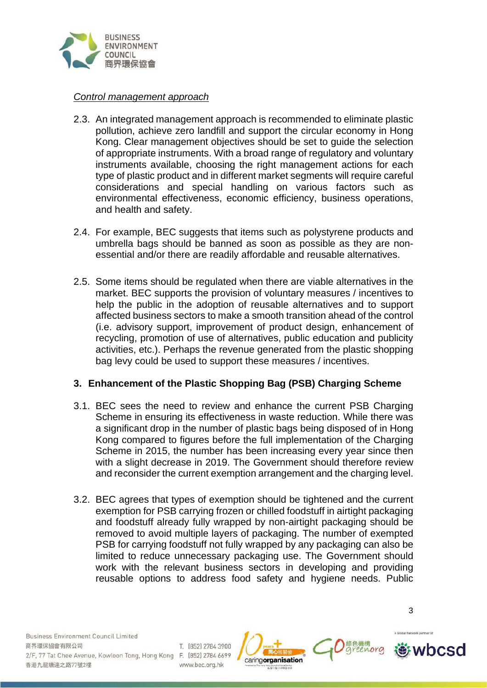

#### *Control management approach*

- 2.3. An integrated management approach is recommended to eliminate plastic pollution, achieve zero landfill and support the circular economy in Hong Kong. Clear management objectives should be set to guide the selection of appropriate instruments. With a broad range of regulatory and voluntary instruments available, choosing the right management actions for each type of plastic product and in different market segments will require careful considerations and special handling on various factors such as environmental effectiveness, economic efficiency, business operations, and health and safety.
- 2.4. For example, BEC suggests that items such as polystyrene products and umbrella bags should be banned as soon as possible as they are nonessential and/or there are readily affordable and reusable alternatives.
- 2.5. Some items should be regulated when there are viable alternatives in the market. BEC supports the provision of voluntary measures / incentives to help the public in the adoption of reusable alternatives and to support affected business sectors to make a smooth transition ahead of the control (i.e. advisory support, improvement of product design, enhancement of recycling, promotion of use of alternatives, public education and publicity activities, etc.). Perhaps the revenue generated from the plastic shopping bag levy could be used to support these measures / incentives.

## **3. Enhancement of the Plastic Shopping Bag (PSB) Charging Scheme**

- 3.1. BEC sees the need to review and enhance the current PSB Charging Scheme in ensuring its effectiveness in waste reduction. While there was a significant drop in the number of plastic bags being disposed of in Hong Kong compared to figures before the full implementation of the Charging Scheme in 2015, the number has been increasing every year since then with a slight decrease in 2019. The Government should therefore review and reconsider the current exemption arrangement and the charging level.
- 3.2. BEC agrees that types of exemption should be tightened and the current exemption for PSB carrying frozen or chilled foodstuff in airtight packaging and foodstuff already fully wrapped by non-airtight packaging should be removed to avoid multiple layers of packaging. The number of exempted PSB for carrying foodstuff not fully wrapped by any packaging can also be limited to reduce unnecessary packaging use. The Government should work with the relevant business sectors in developing and providing reusable options to address food safety and hygiene needs. Public

**Business Environment Council Limited** 商界環保協會有限公司 2/F, 77 Tat Chee Avenue, Kowloon Tong, Hong Kong F. (852) 2784 6699 香港九龍塘達之路77號2樓

T. (852) 2784 3900 www.bec.org.hk





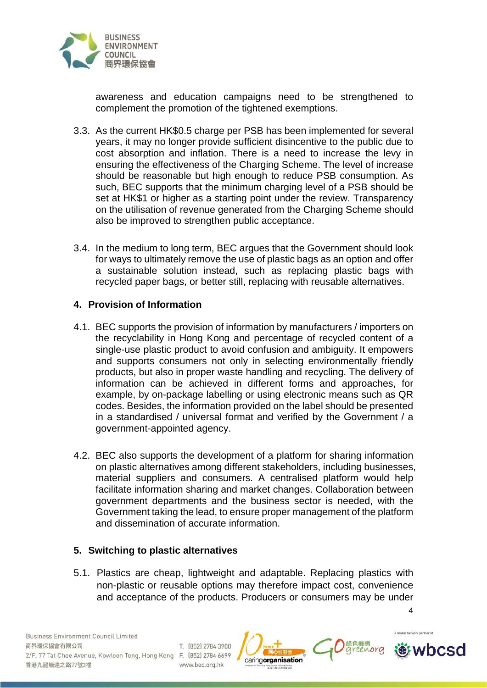

awareness and education campaigns need to be strengthened to complement the promotion of the tightened exemptions.

- 3.3. As the current HK\$0.5 charge per PSB has been implemented for several years, it may no longer provide sufficient disincentive to the public due to cost absorption and inflation. There is a need to increase the levy in ensuring the effectiveness of the Charging Scheme. The level of increase should be reasonable but high enough to reduce PSB consumption. As such, BEC supports that the minimum charging level of a PSB should be set at HK\$1 or higher as a starting point under the review. Transparency on the utilisation of revenue generated from the Charging Scheme should also be improved to strengthen public acceptance.
- 3.4. In the medium to long term, BEC argues that the Government should look for ways to ultimately remove the use of plastic bags as an option and offer a sustainable solution instead, such as replacing plastic bags with recycled paper bags, or better still, replacing with reusable alternatives.

## **4. Provision of Information**

- 4.1. BEC supports the provision of information by manufacturers / importers on the recyclability in Hong Kong and percentage of recycled content of a single-use plastic product to avoid confusion and ambiguity. It empowers and supports consumers not only in selecting environmentally friendly products, but also in proper waste handling and recycling. The delivery of information can be achieved in different forms and approaches, for example, by on-package labelling or using electronic means such as QR codes. Besides, the information provided on the label should be presented in a standardised / universal format and verified by the Government / a government-appointed agency.
- 4.2. BEC also supports the development of a platform for sharing information on plastic alternatives among different stakeholders, including businesses, material suppliers and consumers. A centralised platform would help facilitate information sharing and market changes. Collaboration between government departments and the business sector is needed, with the Government taking the lead, to ensure proper management of the platform and dissemination of accurate information.

## **5. Switching to plastic alternatives**

5.1. Plastics are cheap, lightweight and adaptable. Replacing plastics with non-plastic or reusable options may therefore impact cost, convenience and acceptance of the products. Producers or consumers may be under

**Business Environment Council Limited** 商界環保協會有限公司 T. (852) 2784 3900 2/F, 77 Tat Chee Avenue, Kowloon Tong, Hong Kong F. (852) 2784 6699 香港九龍塘達之路77號2樓 www.bec.org.hk